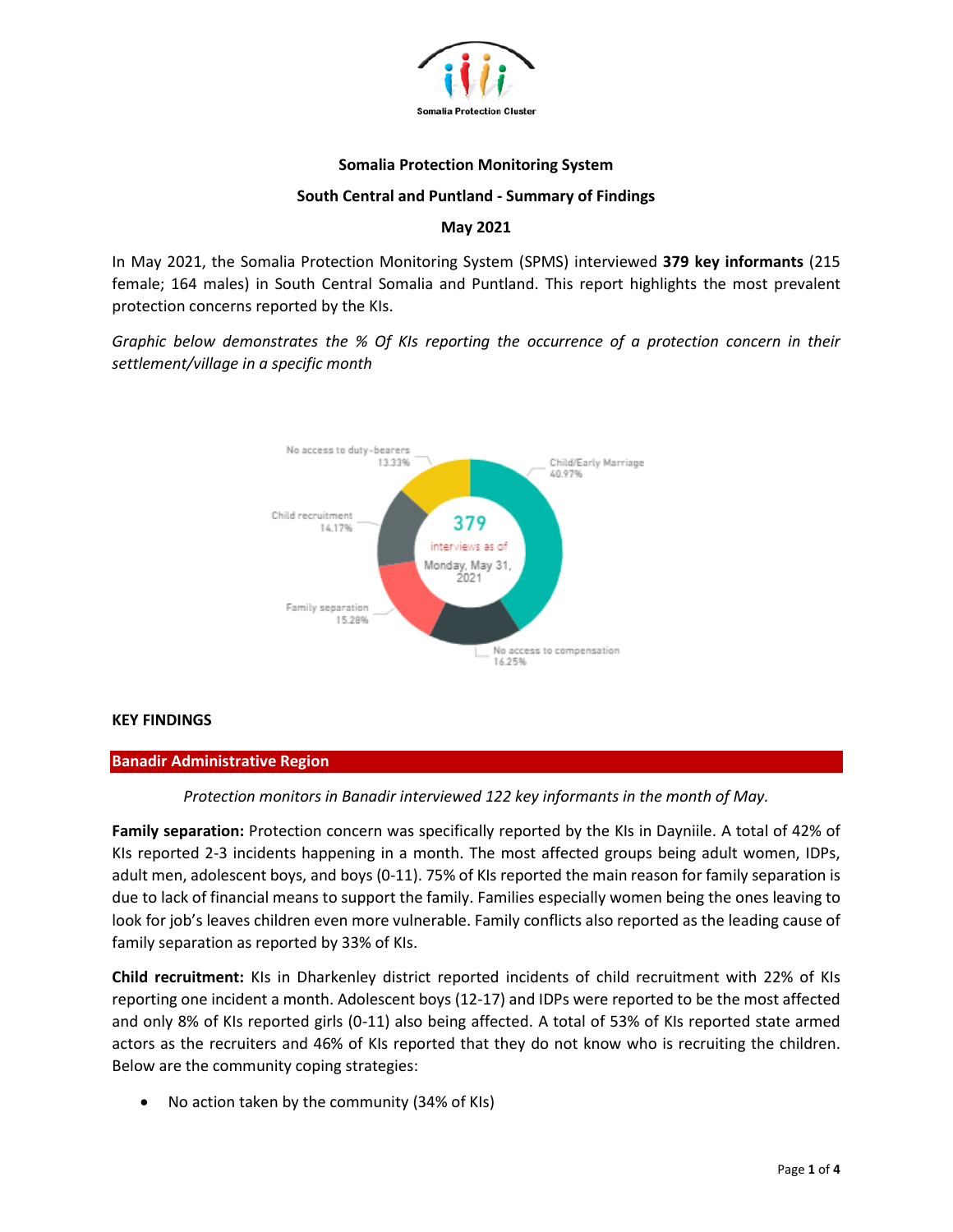

### **Somalia Protection Monitoring System**

### **South Central and Puntland - Summary of Findings**

# **May 2021**

In May 2021, the Somalia Protection Monitoring System (SPMS) interviewed **379 key informants** (215 female; 164 males) in South Central Somalia and Puntland. This report highlights the most prevalent protection concerns reported by the KIs.

*Graphic below demonstrates the % Of KIs reporting the occurrence of a protection concern in their settlement/village in a specific month*



### **KEY FINDINGS**

### **Banadir Administrative Region**

### *Protection monitors in Banadir interviewed 122 key informants in the month of May.*

**Family separation:** Protection concern was specifically reported by the KIs in Dayniile. A total of 42% of KIs reported 2-3 incidents happening in a month. The most affected groups being adult women, IDPs, adult men, adolescent boys, and boys (0-11). 75% of KIs reported the main reason for family separation is due to lack of financial means to support the family. Families especially women being the ones leaving to look for job's leaves children even more vulnerable. Family conflicts also reported as the leading cause of family separation as reported by 33% of KIs.

**Child recruitment:** KIs in Dharkenley district reported incidents of child recruitment with 22% of KIs reporting one incident a month. Adolescent boys (12-17) and IDPs were reported to be the most affected and only 8% of KIs reported girls (0-11) also being affected. A total of 53% of KIs reported state armed actors as the recruiters and 46% of KIs reported that they do not know who is recruiting the children. Below are the community coping strategies:

• No action taken by the community (34% of KIs)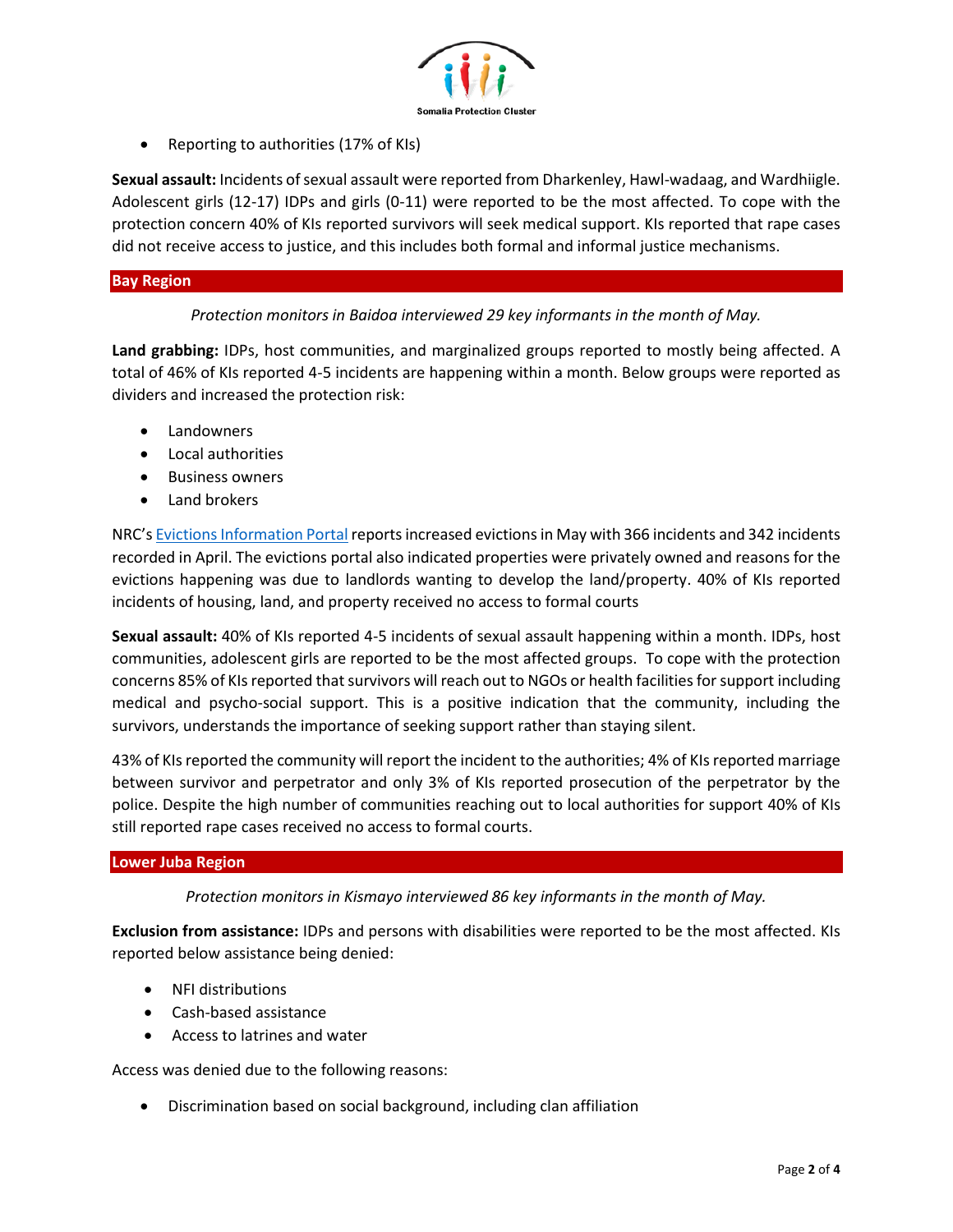

• Reporting to authorities (17% of KIs)

**Sexual assault:** Incidents of sexual assault were reported from Dharkenley, Hawl-wadaag, and Wardhiigle. Adolescent girls (12-17) IDPs and girls (0-11) were reported to be the most affected. To cope with the protection concern 40% of KIs reported survivors will seek medical support. KIs reported that rape cases did not receive access to justice, and this includes both formal and informal justice mechanisms.

# **Bay Region**

# *Protection monitors in Baidoa interviewed 29 key informants in the month of May.*

**Land grabbing:** IDPs, host communities, and marginalized groups reported to mostly being affected. A total of 46% of KIs reported 4-5 incidents are happening within a month. Below groups were reported as dividers and increased the protection risk:

- **Landowners**
- Local authorities
- Business owners
- Land brokers

NRC's [Evictions Information Portal](https://evictions.nrcsystems.net/evictions.php) reports increased evictions in May with 366 incidents and 342 incidents recorded in April. The evictions portal also indicated properties were privately owned and reasons for the evictions happening was due to landlords wanting to develop the land/property. 40% of KIs reported incidents of housing, land, and property received no access to formal courts

**Sexual assault:** 40% of KIs reported 4-5 incidents of sexual assault happening within a month. IDPs, host communities, adolescent girls are reported to be the most affected groups. To cope with the protection concerns 85% of KIs reported that survivors will reach out to NGOs or health facilities for support including medical and psycho-social support. This is a positive indication that the community, including the survivors, understands the importance of seeking support rather than staying silent.

43% of KIs reported the community will report the incident to the authorities; 4% of KIs reported marriage between survivor and perpetrator and only 3% of KIs reported prosecution of the perpetrator by the police. Despite the high number of communities reaching out to local authorities for support 40% of KIs still reported rape cases received no access to formal courts.

### **Lower Juba Region**

*Protection monitors in Kismayo interviewed 86 key informants in the month of May.*

**Exclusion from assistance:** IDPs and persons with disabilities were reported to be the most affected. KIs reported below assistance being denied:

- NFI distributions
- Cash-based assistance
- Access to latrines and water

Access was denied due to the following reasons:

• Discrimination based on social background, including clan affiliation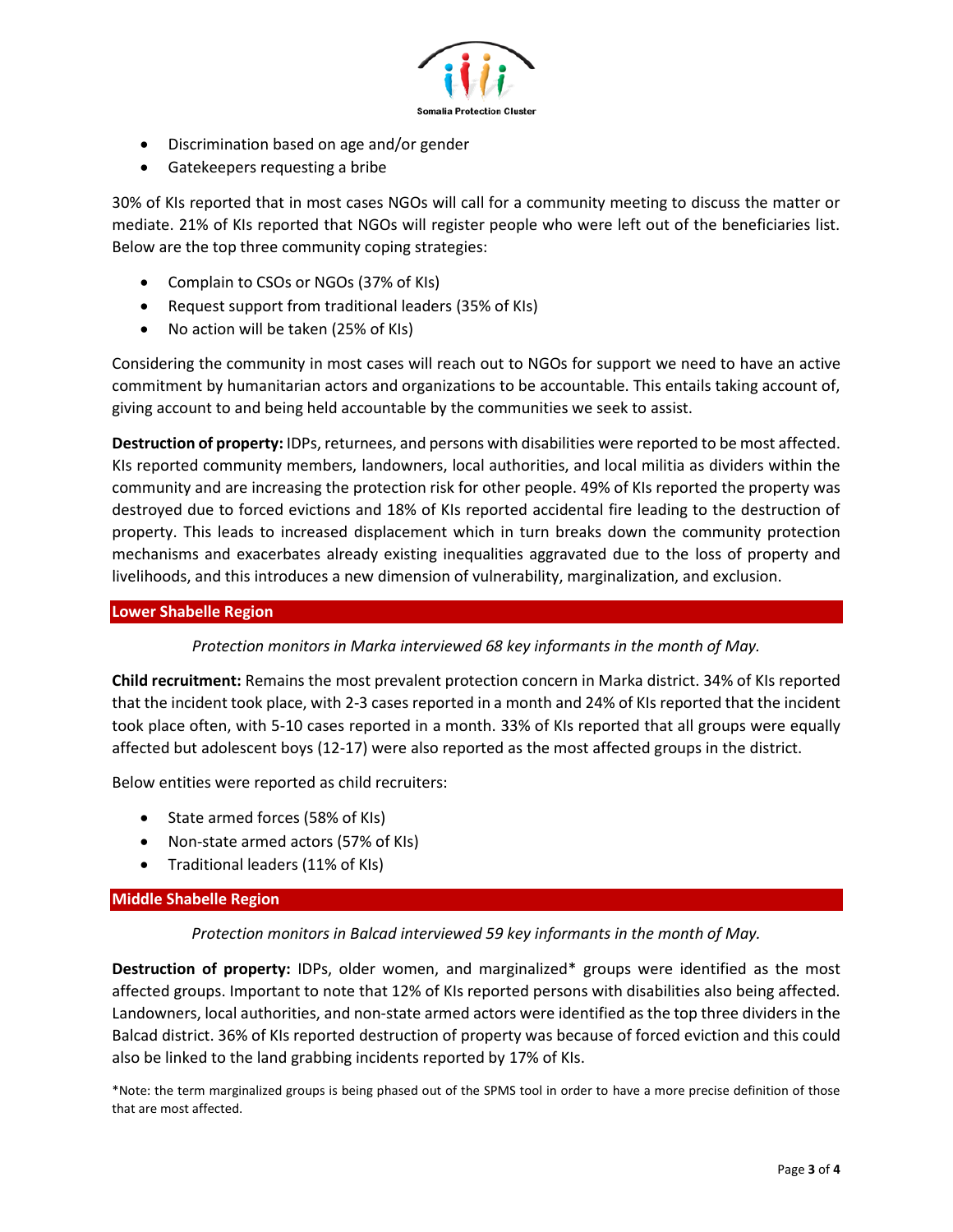

- Discrimination based on age and/or gender
- Gatekeepers requesting a bribe

30% of KIs reported that in most cases NGOs will call for a community meeting to discuss the matter or mediate. 21% of KIs reported that NGOs will register people who were left out of the beneficiaries list. Below are the top three community coping strategies:

- Complain to CSOs or NGOs (37% of KIs)
- Request support from traditional leaders (35% of KIs)
- No action will be taken (25% of KIs)

Considering the community in most cases will reach out to NGOs for support we need to have an active commitment by humanitarian actors and organizations to be accountable. This entails taking account of, giving account to and being held accountable by the communities we seek to assist.

**Destruction of property:** IDPs, returnees, and persons with disabilities were reported to be most affected. KIs reported community members, landowners, local authorities, and local militia as dividers within the community and are increasing the protection risk for other people. 49% of KIs reported the property was destroyed due to forced evictions and 18% of KIs reported accidental fire leading to the destruction of property. This leads to increased displacement which in turn breaks down the community protection mechanisms and exacerbates already existing inequalities aggravated due to the loss of property and livelihoods, and this introduces a new dimension of vulnerability, marginalization, and exclusion.

# **Lower Shabelle Region**

*Protection monitors in Marka interviewed 68 key informants in the month of May.*

**Child recruitment:** Remains the most prevalent protection concern in Marka district. 34% of KIs reported that the incident took place, with 2-3 cases reported in a month and 24% of KIs reported that the incident took place often, with 5-10 cases reported in a month. 33% of KIs reported that all groups were equally affected but adolescent boys (12-17) were also reported as the most affected groups in the district.

Below entities were reported as child recruiters:

- State armed forces (58% of KIs)
- Non-state armed actors (57% of KIs)
- Traditional leaders (11% of KIs)

### **Middle Shabelle Region**

*Protection monitors in Balcad interviewed 59 key informants in the month of May.*

**Destruction of property:** IDPs, older women, and marginalized\* groups were identified as the most affected groups. Important to note that 12% of KIs reported persons with disabilities also being affected. Landowners, local authorities, and non-state armed actors were identified as the top three dividers in the Balcad district. 36% of KIs reported destruction of property was because of forced eviction and this could also be linked to the land grabbing incidents reported by 17% of KIs.

\*Note: the term marginalized groups is being phased out of the SPMS tool in order to have a more precise definition of those that are most affected.